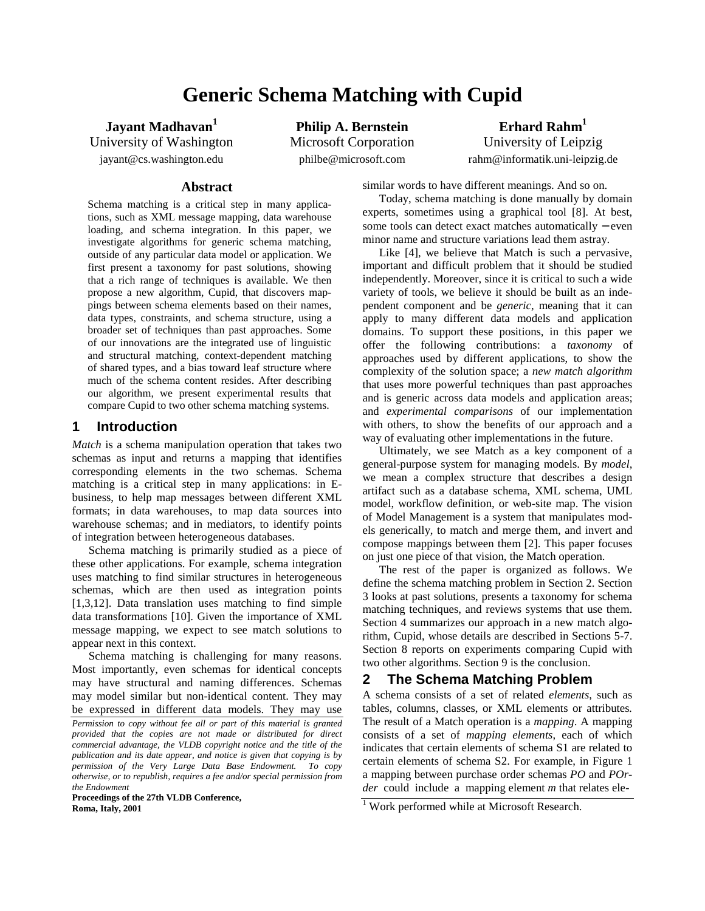# **Generic Schema Matching with Cupid**

**Jayant Madhavan1 Philip A. Bernstein Erhard Rahm1** 

University of Washington Microsoft Corporation University of Leipzig jayant@cs.washington.edu philbe@microsoft.com rahm@informatik.uni-leipzig.de

### **Abstract**

Schema matching is a critical step in many applications, such as XML message mapping, data warehouse loading, and schema integration. In this paper, we investigate algorithms for generic schema matching, outside of any particular data model or application. We first present a taxonomy for past solutions, showing that a rich range of techniques is available. We then propose a new algorithm, Cupid, that discovers mappings between schema elements based on their names, data types, constraints, and schema structure, using a broader set of techniques than past approaches. Some of our innovations are the integrated use of linguistic and structural matching, context-dependent matching of shared types, and a bias toward leaf structure where much of the schema content resides. After describing our algorithm, we present experimental results that compare Cupid to two other schema matching systems.

## **1 Introduction**

*Match* is a schema manipulation operation that takes two schemas as input and returns a mapping that identifies corresponding elements in the two schemas. Schema matching is a critical step in many applications: in Ebusiness, to help map messages between different XML formats; in data warehouses, to map data sources into warehouse schemas; and in mediators, to identify points of integration between heterogeneous databases.

Schema matching is primarily studied as a piece of these other applications. For example, schema integration uses matching to find similar structures in heterogeneous schemas, which are then used as integration points [1,3,12]. Data translation uses matching to find simple data transformations [10]. Given the importance of XML message mapping, we expect to see match solutions to appear next in this context.

Schema matching is challenging for many reasons. Most importantly, even schemas for identical concepts may have structural and naming differences. Schemas may model similar but non-identical content. They may be expressed in different data models. They may use

**Proceedings of the 27th VLDB Conference, Roma, Italy, 2001** 

similar words to have different meanings. And so on.

Today, schema matching is done manually by domain experts, sometimes using a graphical tool [8]. At best, some tools can detect exact matches automatically − even minor name and structure variations lead them astray.

Like [4], we believe that Match is such a pervasive, important and difficult problem that it should be studied independently. Moreover, since it is critical to such a wide variety of tools, we believe it should be built as an independent component and be *generic*, meaning that it can apply to many different data models and application domains. To support these positions, in this paper we offer the following contributions: a *taxonomy* of approaches used by different applications, to show the complexity of the solution space; a *new match algorithm* that uses more powerful techniques than past approaches and is generic across data models and application areas; and *experimental comparisons* of our implementation with others, to show the benefits of our approach and a way of evaluating other implementations in the future.

Ultimately, we see Match as a key component of a general-purpose system for managing models. By *model*, we mean a complex structure that describes a design artifact such as a database schema, XML schema, UML model, workflow definition, or web-site map. The vision of Model Management is a system that manipulates models generically, to match and merge them, and invert and compose mappings between them [2]. This paper focuses on just one piece of that vision, the Match operation.

The rest of the paper is organized as follows. We define the schema matching problem in Section 2. Section 3 looks at past solutions, presents a taxonomy for schema matching techniques, and reviews systems that use them. Section 4 summarizes our approach in a new match algorithm, Cupid, whose details are described in Sections 5-7. Section 8 reports on experiments comparing Cupid with two other algorithms. Section 9 is the conclusion.

#### **2 The Schema Matching Problem**

A schema consists of a set of related *elements*, such as tables, columns, classes, or XML elements or attributes*.*  The result of a Match operation is a *mapping*. A mapping consists of a set of *mapping elements*, each of which indicates that certain elements of schema S1 are related to certain elements of schema S2. For example, in Figure 1 a mapping between purchase order schemas *PO* and *POrder* could include a mapping element *m* that relates ele*-*

*Permission to copy without fee all or part of this material is granted provided that the copies are not made or distributed for direct commercial advantage, the VLDB copyright notice and the title of the publication and its date appear, and notice is given that copying is by permission of the Very Large Data Base Endowment. To copy otherwise, or to republish, requires a fee and/or special permission from the Endowment* 

<sup>&</sup>lt;sup>1</sup> Work performed while at Microsoft Research.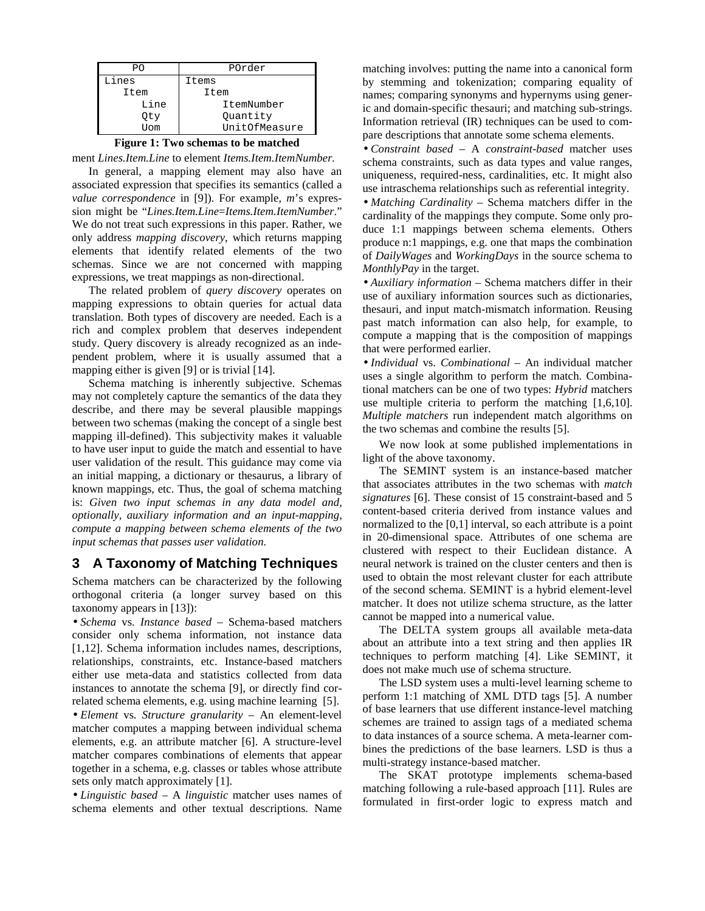| PO    | POrder        |  |  |
|-------|---------------|--|--|
| Lines | Items         |  |  |
| Item  | Item          |  |  |
| Line  | ItemNumber    |  |  |
| Oty   | Ouantity      |  |  |
| ™∩m   | UnitOfMeasure |  |  |

#### **Figure 1: Two schemas to be matched**

ment *Lines.Item.Line* to element *Items.Item.ItemNumber.* 

In general, a mapping element may also have an associated expression that specifies its semantics (called a *value correspondence* in [9]). For example, *m*'s expression might be "*Lines.Item.Line*=*Items.Item.ItemNumber*." We do not treat such expressions in this paper. Rather, we only address *mapping discovery*, which returns mapping elements that identify related elements of the two schemas. Since we are not concerned with mapping expressions, we treat mappings as non-directional.

The related problem of *query discovery* operates on mapping expressions to obtain queries for actual data translation. Both types of discovery are needed. Each is a rich and complex problem that deserves independent study. Query discovery is already recognized as an independent problem, where it is usually assumed that a mapping either is given [9] or is trivial [14].

Schema matching is inherently subjective. Schemas may not completely capture the semantics of the data they describe, and there may be several plausible mappings between two schemas (making the concept of a single best mapping ill-defined). This subjectivity makes it valuable to have user input to guide the match and essential to have user validation of the result. This guidance may come via an initial mapping, a dictionary or thesaurus, a library of known mappings, etc. Thus, the goal of schema matching is: *Given two input schemas in any data model and, optionally, auxiliary information and an input-mapping, compute a mapping between schema elements of the two input schemas that passes user validation.*

# **3 A Taxonomy of Matching Techniques**

Schema matchers can be characterized by the following orthogonal criteria (a longer survey based on this taxonomy appears in [13]):

• *Schema* vs. *Instance based* – Schema-based matchers consider only schema information, not instance data [1,12]. Schema information includes names, descriptions, relationships, constraints, etc. Instance-based matchers either use meta-data and statistics collected from data instances to annotate the schema [9], or directly find correlated schema elements, e.g. using machine learning [5].

• *Element* vs. *Structure granularity* – An element-level matcher computes a mapping between individual schema elements, e.g. an attribute matcher [6]. A structure-level matcher compares combinations of elements that appear together in a schema, e.g. classes or tables whose attribute sets only match approximately [1].

• *Linguistic based* – A *linguistic* matcher uses names of schema elements and other textual descriptions. Name

matching involves: putting the name into a canonical form by stemming and tokenization; comparing equality of names; comparing synonyms and hypernyms using generic and domain-specific thesauri; and matching sub-strings. Information retrieval (IR) techniques can be used to compare descriptions that annotate some schema elements.

• *Constraint based* – A *constraint-based* matcher uses schema constraints, such as data types and value ranges, uniqueness, required-ness, cardinalities, etc. It might also use intraschema relationships such as referential integrity. • *Matching Cardinality* – Schema matchers differ in the cardinality of the mappings they compute. Some only produce 1:1 mappings between schema elements. Others produce n:1 mappings, e.g. one that maps the combination of *DailyWages* and *WorkingDays* in the source schema to *MonthlyPay* in the target.

• *Auxiliary information* – Schema matchers differ in their use of auxiliary information sources such as dictionaries, thesauri, and input match-mismatch information. Reusing past match information can also help, for example, to compute a mapping that is the composition of mappings that were performed earlier.

• *Individual* vs. *Combinational* – An individual matcher uses a single algorithm to perform the match. Combinational matchers can be one of two types: *Hybrid* matchers use multiple criteria to perform the matching [1,6,10]. *Multiple matchers* run independent match algorithms on the two schemas and combine the results [5].

We now look at some published implementations in light of the above taxonomy.

The SEMINT system is an instance-based matcher that associates attributes in the two schemas with *match signatures* [6]. These consist of 15 constraint-based and 5 content-based criteria derived from instance values and normalized to the [0,1] interval, so each attribute is a point in 20-dimensional space. Attributes of one schema are clustered with respect to their Euclidean distance. A neural network is trained on the cluster centers and then is used to obtain the most relevant cluster for each attribute of the second schema. SEMINT is a hybrid element-level matcher. It does not utilize schema structure, as the latter cannot be mapped into a numerical value.

The DELTA system groups all available meta-data about an attribute into a text string and then applies IR techniques to perform matching [4]. Like SEMINT, it does not make much use of schema structure.

The LSD system uses a multi-level learning scheme to perform 1:1 matching of XML DTD tags [5]. A number of base learners that use different instance-level matching schemes are trained to assign tags of a mediated schema to data instances of a source schema. A meta-learner combines the predictions of the base learners. LSD is thus a multi-strategy instance-based matcher.

The SKAT prototype implements schema-based matching following a rule-based approach [11]. Rules are formulated in first-order logic to express match and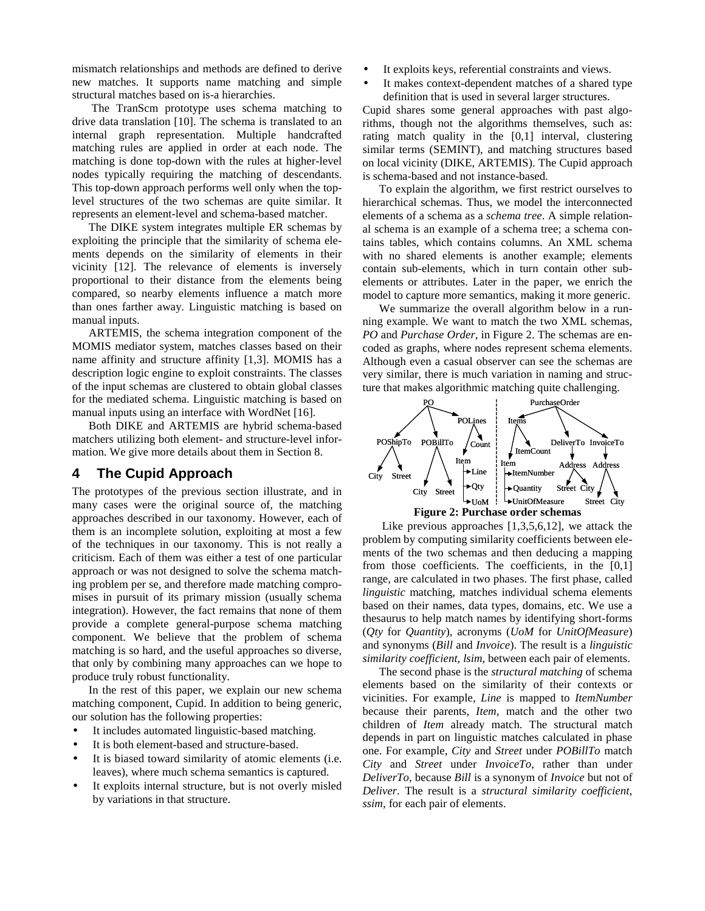mismatch relationships and methods are defined to derive new matches. It supports name matching and simple structural matches based on is-a hierarchies.

 The TranScm prototype uses schema matching to drive data translation [10]. The schema is translated to an internal graph representation. Multiple handcrafted matching rules are applied in order at each node. The matching is done top-down with the rules at higher-level nodes typically requiring the matching of descendants. This top-down approach performs well only when the toplevel structures of the two schemas are quite similar. It represents an element-level and schema-based matcher.

The DIKE system integrates multiple ER schemas by exploiting the principle that the similarity of schema elements depends on the similarity of elements in their vicinity [12]. The relevance of elements is inversely proportional to their distance from the elements being compared, so nearby elements influence a match more than ones farther away. Linguistic matching is based on manual inputs.

ARTEMIS, the schema integration component of the MOMIS mediator system, matches classes based on their name affinity and structure affinity [1,3]. MOMIS has a description logic engine to exploit constraints. The classes of the input schemas are clustered to obtain global classes for the mediated schema. Linguistic matching is based on manual inputs using an interface with WordNet [16].

Both DIKE and ARTEMIS are hybrid schema-based matchers utilizing both element- and structure-level information. We give more details about them in Section 8.

# **4 The Cupid Approach**

The prototypes of the previous section illustrate, and in many cases were the original source of, the matching approaches described in our taxonomy. However, each of them is an incomplete solution, exploiting at most a few of the techniques in our taxonomy. This is not really a criticism. Each of them was either a test of one particular approach or was not designed to solve the schema matching problem per se, and therefore made matching compromises in pursuit of its primary mission (usually schema integration). However, the fact remains that none of them provide a complete general-purpose schema matching component. We believe that the problem of schema matching is so hard, and the useful approaches so diverse, that only by combining many approaches can we hope to produce truly robust functionality.

In the rest of this paper, we explain our new schema matching component, Cupid. In addition to being generic, our solution has the following properties:

- It includes automated linguistic-based matching.
- It is both element-based and structure-based.
- It is biased toward similarity of atomic elements (i.e. leaves), where much schema semantics is captured.
- It exploits internal structure, but is not overly misled by variations in that structure.
- It exploits keys, referential constraints and views.
- It makes context-dependent matches of a shared type definition that is used in several larger structures.

Cupid shares some general approaches with past algorithms, though not the algorithms themselves, such as: rating match quality in the [0,1] interval, clustering similar terms (SEMINT), and matching structures based on local vicinity (DIKE, ARTEMIS). The Cupid approach is schema-based and not instance-based.

To explain the algorithm, we first restrict ourselves to hierarchical schemas. Thus, we model the interconnected elements of a schema as a *schema tree*. A simple relational schema is an example of a schema tree; a schema contains tables, which contains columns. An XML schema with no shared elements is another example; elements contain sub-elements, which in turn contain other subelements or attributes. Later in the paper, we enrich the model to capture more semantics, making it more generic.

We summarize the overall algorithm below in a running example. We want to match the two XML schemas, *PO* and *Purchase Order*, in Figure 2. The schemas are encoded as graphs, where nodes represent schema elements. Although even a casual observer can see the schemas are very similar, there is much variation in naming and structure that makes algorithmic matching quite challenging.



 Like previous approaches [1,3,5,6,12], we attack the problem by computing similarity coefficients between elements of the two schemas and then deducing a mapping from those coefficients. The coefficients, in the [0,1] range, are calculated in two phases. The first phase, called *linguistic* matching, matches individual schema elements based on their names, data types, domains, etc. We use a thesaurus to help match names by identifying short-forms (*Qty* for *Quantity*), acronyms (*UoM* for *UnitOfMeasure*) and synonyms (*Bill* and *Invoice*). The result is a *linguistic similarity coefficient*, *lsim*, between each pair of elements.

The second phase is the *structural matching* of schema elements based on the similarity of their contexts or vicinities. For example, *Line* is mapped to *ItemNumber* because their parents, *Item*, match and the other two children of *Item* already match. The structural match depends in part on linguistic matches calculated in phase one. For example, *City* and *Street* under *POBillTo* match *City* and *Street* under *InvoiceTo*, rather than under *DeliverTo*, because *Bill* is a synonym of *Invoice* but not of *Deliver*. The result is a *structural similarity coefficient*, *ssim*, for each pair of elements.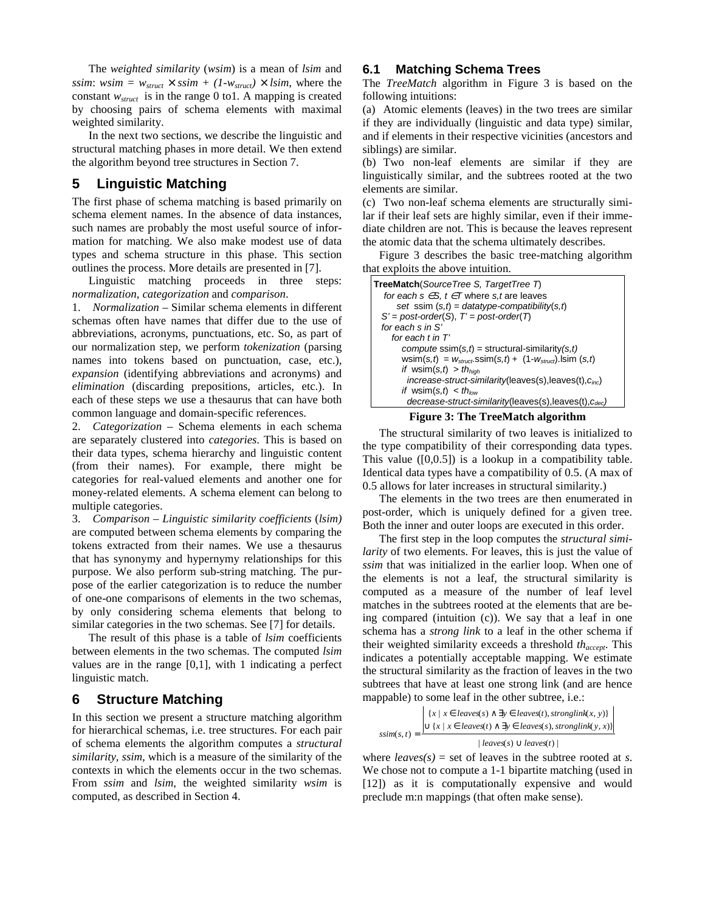The *weighted similarity* (*wsim*) is a mean of *lsim* and *ssim*: *wsim* =  $w_{struct} \times ssim + (1 - w_{struct}) \times lsim$ , where the constant *wstruct* is in the range 0 to1*.* A mapping is created by choosing pairs of schema elements with maximal weighted similarity.

In the next two sections, we describe the linguistic and structural matching phases in more detail. We then extend the algorithm beyond tree structures in Section 7.

## **5 Linguistic Matching**

The first phase of schema matching is based primarily on schema element names. In the absence of data instances, such names are probably the most useful source of information for matching. We also make modest use of data types and schema structure in this phase. This section outlines the process. More details are presented in [7].

Linguistic matching proceeds in three steps: *normalization*, *categorization* and *comparison*.

1. *Normalization* – Similar schema elements in different schemas often have names that differ due to the use of abbreviations, acronyms, punctuations, etc. So, as part of our normalization step, we perform *tokenization* (parsing names into tokens based on punctuation, case, etc.), *expansion* (identifying abbreviations and acronyms) and *elimination* (discarding prepositions, articles, etc.). In each of these steps we use a thesaurus that can have both common language and domain-specific references.

2. *Categorization* – Schema elements in each schema are separately clustered into *categories*. This is based on their data types, schema hierarchy and linguistic content (from their names). For example, there might be categories for real-valued elements and another one for money-related elements. A schema element can belong to multiple categories.

3. *Comparison* – *Linguistic similarity coefficients* (*lsim)* are computed between schema elements by comparing the tokens extracted from their names. We use a thesaurus that has synonymy and hypernymy relationships for this purpose. We also perform sub-string matching. The purpose of the earlier categorization is to reduce the number of one-one comparisons of elements in the two schemas, by only considering schema elements that belong to similar categories in the two schemas. See [7] for details.

The result of this phase is a table of *lsim* coefficients between elements in the two schemas. The computed *lsim* values are in the range [0,1], with 1 indicating a perfect linguistic match.

## **6 Structure Matching**

In this section we present a structure matching algorithm for hierarchical schemas, i.e. tree structures. For each pair of schema elements the algorithm computes a *structural similarity, ssim,* which is a measure of the similarity of the contexts in which the elements occur in the two schemas. From *ssim* and *lsim*, the weighted similarity *wsim* is computed, as described in Section 4.

## **6.1 Matching Schema Trees**

The *TreeMatch* algorithm in Figure 3 is based on the following intuitions:

(a) Atomic elements (leaves) in the two trees are similar if they are individually (linguistic and data type) similar, and if elements in their respective vicinities (ancestors and siblings) are similar.

(b) Two non-leaf elements are similar if they are linguistically similar, and the subtrees rooted at the two elements are similar.

(c) Two non-leaf schema elements are structurally similar if their leaf sets are highly similar, even if their immediate children are not. This is because the leaves represent the atomic data that the schema ultimately describes.

Figure 3 describes the basic tree-matching algorithm that exploits the above intuition.

| TreeMatch(SourceTree S, TargetTree T)<br>for each $s \in S$ , $t \in T$ where s, t are leaves |  |  |  |  |  |
|-----------------------------------------------------------------------------------------------|--|--|--|--|--|
| set ssim $(s,t) = datatype-compatibility(s,t)$                                                |  |  |  |  |  |
| $S' = post-order(S), T' = post-order(T)$                                                      |  |  |  |  |  |
| for each s in S'                                                                              |  |  |  |  |  |
| for each $t$ in $T'$                                                                          |  |  |  |  |  |
| <i>compute</i> ssim( $s,t$ ) = structural-similarity( $s,t$ )                                 |  |  |  |  |  |
| wsim(s,t) = $w_{struct}$ ssim(s,t) + (1- $w_{struct}$ ). Isim (s,t)                           |  |  |  |  |  |
| if wsim(s,t) > th <sub>high</sub>                                                             |  |  |  |  |  |
| $increase-struct-similarity(leaves(s),leaves(t), cinc)$                                       |  |  |  |  |  |
| <i>if</i> wsim(s, <i>t</i> ) < <i>th</i> <sub>low</sub>                                       |  |  |  |  |  |
| $decrease-struct-similarity(leaves(s),leaves(t), c_{dec})$                                    |  |  |  |  |  |



The structural similarity of two leaves is initialized to the type compatibility of their corresponding data types. This value ([0,0.5]) is a lookup in a compatibility table. Identical data types have a compatibility of 0.5. (A max of 0.5 allows for later increases in structural similarity.)

The elements in the two trees are then enumerated in post-order, which is uniquely defined for a given tree. Both the inner and outer loops are executed in this order.

The first step in the loop computes the *structural similarity* of two elements. For leaves, this is just the value of *ssim* that was initialized in the earlier loop. When one of the elements is not a leaf, the structural similarity is computed as a measure of the number of leaf level matches in the subtrees rooted at the elements that are being compared (intuition (c)). We say that a leaf in one schema has a *strong link* to a leaf in the other schema if their weighted similarity exceeds a threshold *thaccept*. This indicates a potentially acceptable mapping. We estimate the structural similarity as the fraction of leaves in the two subtrees that have at least one strong link (and are hence mappable) to some leaf in the other subtree, i.e.:

$$
ssim(s, t) = \frac{\left| \{x \mid x \in leaves(s) \land \exists y \in leaves(t), stronglyink(x, y) \} \right|}{\bigcup \{x \mid x \in leaves(t) \land \exists y \in leaves(s), stronglyink(y, x) \} \right|}{| leaves(s) \cup leaves(t) |}
$$

where  $leaves(s) = set$  of leaves in the subtree rooted at *s*. We chose not to compute a 1-1 bipartite matching (used in [12]) as it is computationally expensive and would preclude m:n mappings (that often make sense).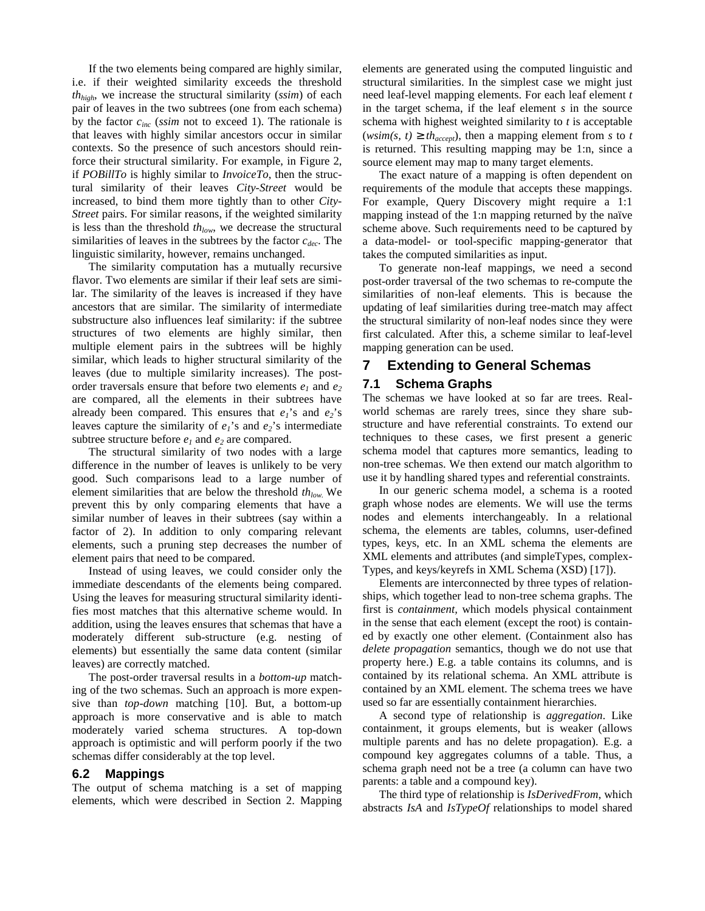If the two elements being compared are highly similar, i.e. if their weighted similarity exceeds the threshold *thhigh*, we increase the structural similarity (*ssim*) of each pair of leaves in the two subtrees (one from each schema) by the factor *cinc* (*ssim* not to exceed 1). The rationale is that leaves with highly similar ancestors occur in similar contexts. So the presence of such ancestors should reinforce their structural similarity. For example, in Figure 2, if *POBillTo* is highly similar to *InvoiceTo*, then the structural similarity of their leaves *City-Street* would be increased, to bind them more tightly than to other *City-Street* pairs. For similar reasons, if the weighted similarity is less than the threshold *th*<sub>low</sub>, we decrease the structural similarities of leaves in the subtrees by the factor *cdec*. The linguistic similarity, however, remains unchanged.

The similarity computation has a mutually recursive flavor. Two elements are similar if their leaf sets are similar. The similarity of the leaves is increased if they have ancestors that are similar. The similarity of intermediate substructure also influences leaf similarity: if the subtree structures of two elements are highly similar, then multiple element pairs in the subtrees will be highly similar, which leads to higher structural similarity of the leaves (due to multiple similarity increases). The postorder traversals ensure that before two elements  $e_1$  and  $e_2$ are compared, all the elements in their subtrees have already been compared. This ensures that  $e_1$ 's and  $e_2$ 's leaves capture the similarity of  $e_1$ 's and  $e_2$ 's intermediate subtree structure before  $e_1$  and  $e_2$  are compared.

The structural similarity of two nodes with a large difference in the number of leaves is unlikely to be very good. Such comparisons lead to a large number of element similarities that are below the threshold *th<sub>low*.</sub> We prevent this by only comparing elements that have a similar number of leaves in their subtrees (say within a factor of 2). In addition to only comparing relevant elements, such a pruning step decreases the number of element pairs that need to be compared.

Instead of using leaves, we could consider only the immediate descendants of the elements being compared. Using the leaves for measuring structural similarity identifies most matches that this alternative scheme would. In addition, using the leaves ensures that schemas that have a moderately different sub-structure (e.g. nesting of elements) but essentially the same data content (similar leaves) are correctly matched.

The post-order traversal results in a *bottom-up* matching of the two schemas. Such an approach is more expensive than *top-down* matching [10]. But, a bottom-up approach is more conservative and is able to match moderately varied schema structures. A top-down approach is optimistic and will perform poorly if the two schemas differ considerably at the top level.

#### **6.2 Mappings**

The output of schema matching is a set of mapping elements, which were described in Section 2. Mapping elements are generated using the computed linguistic and structural similarities. In the simplest case we might just need leaf-level mapping elements. For each leaf element *t*  in the target schema, if the leaf element *s* in the source schema with highest weighted similarity to *t* is acceptable (*wsim(s, t)*  $\geq th_{accept}$ ), then a mapping element from *s* to *t* is returned. This resulting mapping may be 1:n, since a source element may map to many target elements.

The exact nature of a mapping is often dependent on requirements of the module that accepts these mappings. For example, Query Discovery might require a 1:1 mapping instead of the 1:n mapping returned by the naïve scheme above. Such requirements need to be captured by a data-model- or tool-specific mapping-generator that takes the computed similarities as input.

To generate non-leaf mappings, we need a second post-order traversal of the two schemas to re-compute the similarities of non-leaf elements. This is because the updating of leaf similarities during tree-match may affect the structural similarity of non-leaf nodes since they were first calculated. After this, a scheme similar to leaf-level mapping generation can be used.

## **7 Extending to General Schemas**

#### **7.1 Schema Graphs**

The schemas we have looked at so far are trees. Realworld schemas are rarely trees, since they share substructure and have referential constraints. To extend our techniques to these cases, we first present a generic schema model that captures more semantics, leading to non-tree schemas. We then extend our match algorithm to use it by handling shared types and referential constraints.

In our generic schema model, a schema is a rooted graph whose nodes are elements. We will use the terms nodes and elements interchangeably. In a relational schema, the elements are tables, columns, user-defined types, keys, etc. In an XML schema the elements are XML elements and attributes (and simpleTypes, complex-Types, and keys/keyrefs in XML Schema (XSD) [17]).

Elements are interconnected by three types of relationships, which together lead to non-tree schema graphs. The first is *containment,* which models physical containment in the sense that each element (except the root) is contained by exactly one other element. (Containment also has *delete propagation* semantics, though we do not use that property here.) E.g. a table contains its columns, and is contained by its relational schema. An XML attribute is contained by an XML element. The schema trees we have used so far are essentially containment hierarchies.

A second type of relationship is *aggregation*. Like containment, it groups elements, but is weaker (allows multiple parents and has no delete propagation). E.g. a compound key aggregates columns of a table. Thus, a schema graph need not be a tree (a column can have two parents: a table and a compound key).

The third type of relationship is *IsDerivedFrom*, which abstracts *IsA* and *IsTypeOf* relationships to model shared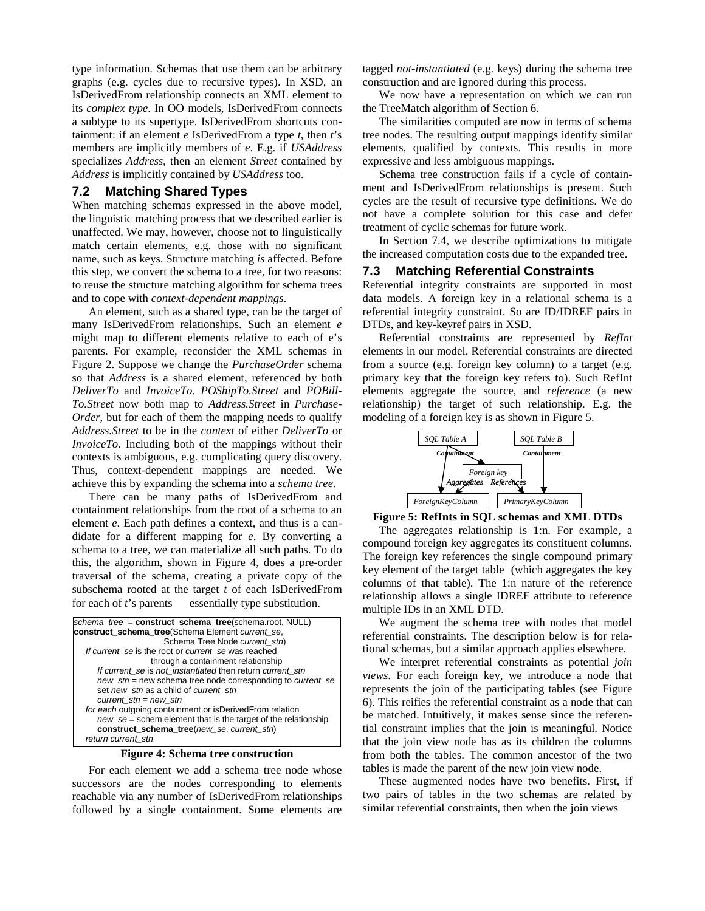type information. Schemas that use them can be arbitrary graphs (e.g. cycles due to recursive types). In XSD, an IsDerivedFrom relationship connects an XML element to its *complex type*. In OO models, IsDerivedFrom connects a subtype to its supertype. IsDerivedFrom shortcuts containment: if an element *e* IsDerivedFrom a type *t*, then *t*'s members are implicitly members of *e*. E.g. if *USAddress* specializes *Address*, then an element *Street* contained by *Address* is implicitly contained by *USAddress* too.

#### **7.2 Matching Shared Types**

When matching schemas expressed in the above model, the linguistic matching process that we described earlier is unaffected. We may, however, choose not to linguistically match certain elements, e.g. those with no significant name, such as keys. Structure matching *is* affected. Before this step, we convert the schema to a tree, for two reasons: to reuse the structure matching algorithm for schema trees and to cope with *context-dependent mappings*.

An element, such as a shared type, can be the target of many IsDerivedFrom relationships. Such an element *e* might map to different elements relative to each of e's parents. For example, reconsider the XML schemas in Figure 2. Suppose we change the *PurchaseOrder* schema so that *Address* is a shared element, referenced by both *DeliverTo* and *InvoiceTo*. *POShipTo.Street* and *POBill-To.Street* now both map to *Address.Street* in *Purchase-Order,* but for each of them the mapping needs to qualify *Address.Street* to be in the *context* of either *DeliverTo* or *InvoiceTo*. Including both of the mappings without their contexts is ambiguous, e.g. complicating query discovery. Thus, context-dependent mappings are needed. We achieve this by expanding the schema into a *schema tree*.

There can be many paths of IsDerivedFrom and containment relationships from the root of a schema to an element *e*. Each path defines a context, and thus is a candidate for a different mapping for *e*. By converting a schema to a tree, we can materialize all such paths. To do this, the algorithm, shown in Figure 4, does a pre-order traversal of the schema, creating a private copy of the subschema rooted at the target *t* of each IsDerivedFrom for each of *t*'s parents — essentially type substitution.

| schema tree = construct schema tree(schema.root, NULL)          |
|-----------------------------------------------------------------|
| construct_schema_tree(Schema Element current_se,                |
| Schema Tree Node current stn)                                   |
| If current se is the root or current_se was reached             |
| through a containment relationship                              |
| If current se is not instantiated then return current stn       |
| new stn = new schema tree node corresponding to current se      |
| set new_stn as a child of current_stn                           |
| current $stn = new stn$                                         |
| for each outgoing containment or isDerivedFrom relation         |
| $new$ se = schem element that is the target of the relationship |
| construct_schema_tree(new_se, current_stn)                      |
| return current stn                                              |
|                                                                 |

#### **Figure 4: Schema tree construction**

For each element we add a schema tree node whose successors are the nodes corresponding to elements reachable via any number of IsDerivedFrom relationships followed by a single containment. Some elements are tagged *not-instantiated* (e.g. keys) during the schema tree construction and are ignored during this process.

We now have a representation on which we can run the TreeMatch algorithm of Section 6.

The similarities computed are now in terms of schema tree nodes. The resulting output mappings identify similar elements, qualified by contexts. This results in more expressive and less ambiguous mappings.

Schema tree construction fails if a cycle of containment and IsDerivedFrom relationships is present. Such cycles are the result of recursive type definitions. We do not have a complete solution for this case and defer treatment of cyclic schemas for future work.

In Section 7.4, we describe optimizations to mitigate the increased computation costs due to the expanded tree.

#### **7.3 Matching Referential Constraints**

Referential integrity constraints are supported in most data models. A foreign key in a relational schema is a referential integrity constraint. So are ID/IDREF pairs in DTDs, and key-keyref pairs in XSD.

Referential constraints are represented by *RefInt* elements in our model. Referential constraints are directed from a source (e.g. foreign key column) to a target (e.g. primary key that the foreign key refers to). Such RefInt elements aggregate the source, and *reference* (a new relationship) the target of such relationship. E.g. the modeling of a foreign key is as shown in Figure 5.



**Figure 5: RefInts in SQL schemas and XML DTDs** 

The aggregates relationship is 1:n. For example, a compound foreign key aggregates its constituent columns. The foreign key references the single compound primary key element of the target table (which aggregates the key columns of that table). The 1:n nature of the reference relationship allows a single IDREF attribute to reference multiple IDs in an XML DTD.

We augment the schema tree with nodes that model referential constraints. The description below is for relational schemas, but a similar approach applies elsewhere.

We interpret referential constraints as potential *join views*. For each foreign key, we introduce a node that represents the join of the participating tables (see Figure 6). This reifies the referential constraint as a node that can be matched. Intuitively, it makes sense since the referential constraint implies that the join is meaningful. Notice that the join view node has as its children the columns from both the tables. The common ancestor of the two tables is made the parent of the new join view node.

These augmented nodes have two benefits. First, if two pairs of tables in the two schemas are related by similar referential constraints, then when the join views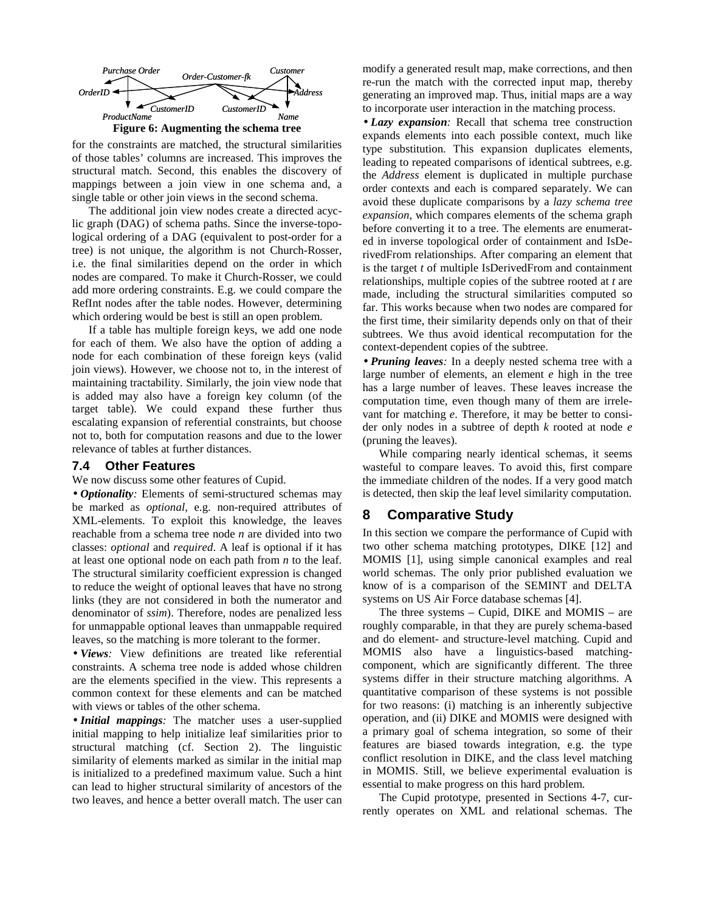

for the constraints are matched, the structural similarities of those tables' columns are increased. This improves the structural match. Second, this enables the discovery of mappings between a join view in one schema and, a single table or other join views in the second schema.

The additional join view nodes create a directed acyclic graph (DAG) of schema paths. Since the inverse-topological ordering of a DAG (equivalent to post-order for a tree) is not unique, the algorithm is not Church-Rosser, i.e. the final similarities depend on the order in which nodes are compared. To make it Church-Rosser, we could add more ordering constraints. E.g. we could compare the RefInt nodes after the table nodes. However, determining which ordering would be best is still an open problem.

If a table has multiple foreign keys, we add one node for each of them. We also have the option of adding a node for each combination of these foreign keys (valid join views). However, we choose not to, in the interest of maintaining tractability. Similarly, the join view node that is added may also have a foreign key column (of the target table). We could expand these further thus escalating expansion of referential constraints, but choose not to, both for computation reasons and due to the lower relevance of tables at further distances.

#### **7.4 Other Features**

We now discuss some other features of Cupid.

• *Optionality:* Elements of semi-structured schemas may be marked as *optional*, e.g. non-required attributes of XML-elements. To exploit this knowledge, the leaves reachable from a schema tree node *n* are divided into two classes: *optional* and *required*. A leaf is optional if it has at least one optional node on each path from *n* to the leaf. The structural similarity coefficient expression is changed to reduce the weight of optional leaves that have no strong links (they are not considered in both the numerator and denominator of *ssim*). Therefore, nodes are penalized less for unmappable optional leaves than unmappable required leaves, so the matching is more tolerant to the former.

• *Views:* View definitions are treated like referential constraints. A schema tree node is added whose children are the elements specified in the view. This represents a common context for these elements and can be matched with views or tables of the other schema.

• *Initial mappings:* The matcher uses a user-supplied initial mapping to help initialize leaf similarities prior to structural matching (cf. Section 2). The linguistic similarity of elements marked as similar in the initial map is initialized to a predefined maximum value. Such a hint can lead to higher structural similarity of ancestors of the two leaves, and hence a better overall match. The user can modify a generated result map, make corrections, and then re-run the match with the corrected input map, thereby generating an improved map. Thus, initial maps are a way to incorporate user interaction in the matching process.

• *Lazy expansion:* Recall that schema tree construction expands elements into each possible context, much like type substitution. This expansion duplicates elements, leading to repeated comparisons of identical subtrees, e.g. the *Address* element is duplicated in multiple purchase order contexts and each is compared separately. We can avoid these duplicate comparisons by a *lazy schema tree expansion*, which compares elements of the schema graph before converting it to a tree. The elements are enumerated in inverse topological order of containment and IsDerivedFrom relationships. After comparing an element that is the target *t* of multiple IsDerivedFrom and containment relationships, multiple copies of the subtree rooted at *t* are made, including the structural similarities computed so far. This works because when two nodes are compared for the first time, their similarity depends only on that of their subtrees. We thus avoid identical recomputation for the context-dependent copies of the subtree.

• *Pruning leaves:* In a deeply nested schema tree with a large number of elements, an element *e* high in the tree has a large number of leaves. These leaves increase the computation time, even though many of them are irrelevant for matching *e*. Therefore, it may be better to consider only nodes in a subtree of depth *k* rooted at node *e* (pruning the leaves).

While comparing nearly identical schemas, it seems wasteful to compare leaves. To avoid this, first compare the immediate children of the nodes. If a very good match is detected, then skip the leaf level similarity computation.

## **8 Comparative Study**

In this section we compare the performance of Cupid with two other schema matching prototypes, DIKE [12] and MOMIS [1], using simple canonical examples and real world schemas. The only prior published evaluation we know of is a comparison of the SEMINT and DELTA systems on US Air Force database schemas [4].

The three systems – Cupid, DIKE and MOMIS – are roughly comparable, in that they are purely schema-based and do element- and structure-level matching. Cupid and MOMIS also have a linguistics-based matchingcomponent, which are significantly different. The three systems differ in their structure matching algorithms. A quantitative comparison of these systems is not possible for two reasons: (i) matching is an inherently subjective operation, and (ii) DIKE and MOMIS were designed with a primary goal of schema integration, so some of their features are biased towards integration, e.g. the type conflict resolution in DIKE, and the class level matching in MOMIS. Still, we believe experimental evaluation is essential to make progress on this hard problem.

The Cupid prototype, presented in Sections 4-7, currently operates on XML and relational schemas. The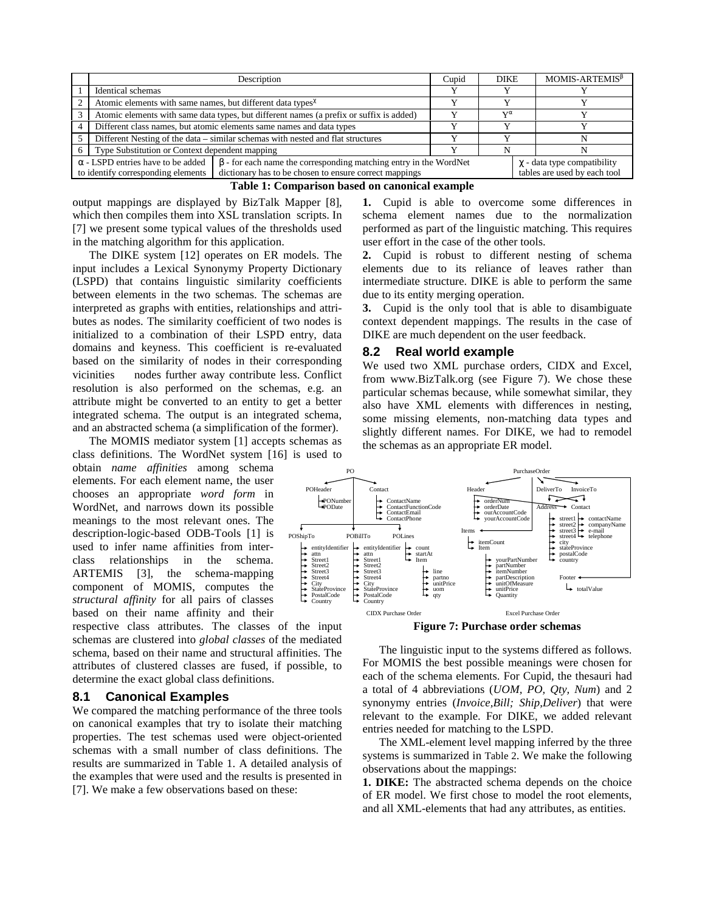|                                                                                                                                                                                                                     | Description                                                                             |                                                                                 | Cupid                                                            | <b>DIKE</b>  | $MOMIS-ARTEMIS^{\beta}$ |
|---------------------------------------------------------------------------------------------------------------------------------------------------------------------------------------------------------------------|-----------------------------------------------------------------------------------------|---------------------------------------------------------------------------------|------------------------------------------------------------------|--------------|-------------------------|
|                                                                                                                                                                                                                     | Identical schemas                                                                       |                                                                                 |                                                                  |              |                         |
|                                                                                                                                                                                                                     | Atomic elements with same names, but different data types <sup><math>\chi</math></sup>  |                                                                                 |                                                                  |              |                         |
|                                                                                                                                                                                                                     | Atomic elements with same data types, but different names (a prefix or suffix is added) |                                                                                 |                                                                  | $T^{\alpha}$ |                         |
|                                                                                                                                                                                                                     | Different class names, but atomic elements same names and data types                    |                                                                                 |                                                                  |              |                         |
|                                                                                                                                                                                                                     |                                                                                         | Different Nesting of the data – similar schemas with nested and flat structures |                                                                  |              |                         |
|                                                                                                                                                                                                                     | Type Substitution or Context dependent mapping                                          |                                                                                 |                                                                  |              |                         |
| $\alpha$ - LSPD entries have to be added<br>$\beta$ - for each name the corresponding matching entry in the WordNet<br>dictionary has to be chosen to ensure correct mappings<br>to identify corresponding elements |                                                                                         |                                                                                 | $\chi$ - data type compatibility<br>tables are used by each tool |              |                         |



output mappings are displayed by BizTalk Mapper [8], which then compiles them into XSL translation scripts. In [7] we present some typical values of the thresholds used in the matching algorithm for this application.

The DIKE system [12] operates on ER models. The input includes a Lexical Synonymy Property Dictionary (LSPD) that contains linguistic similarity coefficients between elements in the two schemas. The schemas are interpreted as graphs with entities, relationships and attributes as nodes. The similarity coefficient of two nodes is initialized to a combination of their LSPD entry, data domains and keyness. This coefficient is re-evaluated based on the similarity of nodes in their corresponding vicinities — nodes further away contribute less. Conflict resolution is also performed on the schemas, e.g. an attribute might be converted to an entity to get a better integrated schema. The output is an integrated schema, and an abstracted schema (a simplification of the former).

The MOMIS mediator system [1] accepts schemas as

class definitions. The WordNet system [16] is used to obtain *name affinities* among schema elements. For each element name, the user chooses an appropriate *word form* in WordNet, and narrows down its possible meanings to the most relevant ones. The description-logic-based ODB-Tools [1] is used to infer name affinities from interclass relationships in the schema. ARTEMIS [3], the schema-mapping component of MOMIS, computes the *structural affinity* for all pairs of classes based on their name affinity and their

respective class attributes. The classes of the input schemas are clustered into *global classes* of the mediated schema, based on their name and structural affinities. The attributes of clustered classes are fused, if possible, to determine the exact global class definitions.

## **8.1 Canonical Examples**

We compared the matching performance of the three tools on canonical examples that try to isolate their matching properties. The test schemas used were object-oriented schemas with a small number of class definitions. The results are summarized in Table 1. A detailed analysis of the examples that were used and the results is presented in [7]. We make a few observations based on these:

**1.** Cupid is able to overcome some differences in schema element names due to the normalization performed as part of the linguistic matching. This requires user effort in the case of the other tools.

**2.** Cupid is robust to different nesting of schema elements due to its reliance of leaves rather than intermediate structure. DIKE is able to perform the same due to its entity merging operation.

**3.** Cupid is the only tool that is able to disambiguate context dependent mappings. The results in the case of DIKE are much dependent on the user feedback.

## **8.2 Real world example**

We used two XML purchase orders, CIDX and Excel, from www.BizTalk.org (see Figure 7). We chose these particular schemas because, while somewhat similar, they also have XML elements with differences in nesting, some missing elements, non-matching data types and slightly different names. For DIKE, we had to remodel the schemas as an appropriate ER model.



**Figure 7: Purchase order schemas** 

The linguistic input to the systems differed as follows. For MOMIS the best possible meanings were chosen for each of the schema elements. For Cupid, the thesauri had a total of 4 abbreviations (*UOM, PO, Qty, Num*) and 2 synonymy entries (*Invoice,Bill; Ship,Deliver*) that were relevant to the example. For DIKE, we added relevant entries needed for matching to the LSPD.

The XML-element level mapping inferred by the three systems is summarized in Table 2. We make the following observations about the mappings:

**1. DIKE:** The abstracted schema depends on the choice of ER model. We first chose to model the root elements, and all XML-elements that had any attributes, as entities.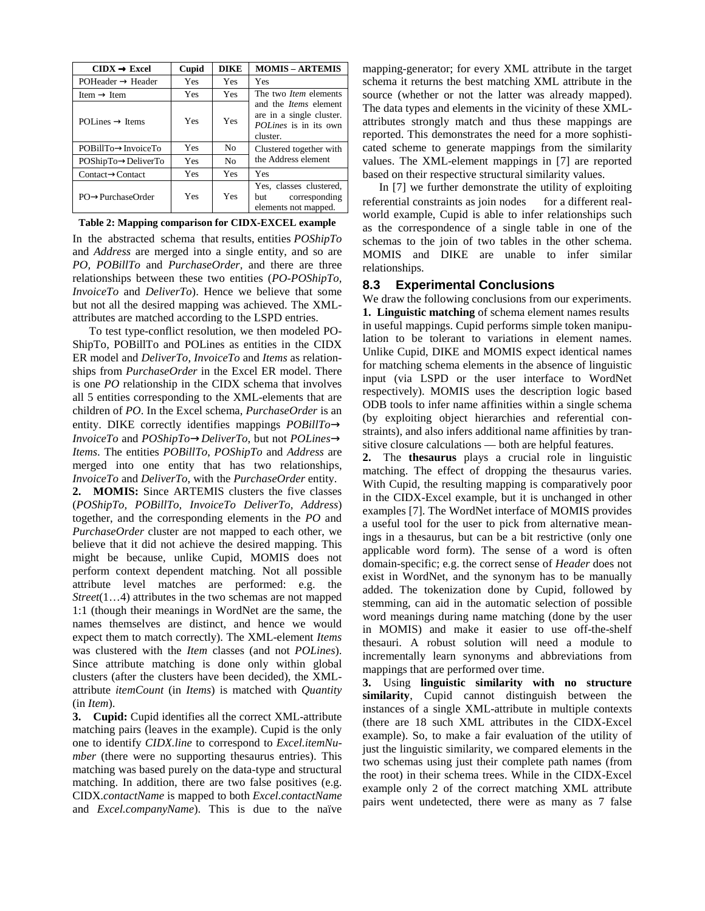| $CIDX \rightarrow Excel$         | Cupid | <b>DIKE</b>    | <b>MOMIS - ARTEMIS</b>                                                                                                               |  |
|----------------------------------|-------|----------------|--------------------------------------------------------------------------------------------------------------------------------------|--|
| $POHeader \rightarrow Header$    | Yes   | Yes            | Yes                                                                                                                                  |  |
| Item $\rightarrow$ Item          | Yes   | Yes            | The two <i>Item</i> elements<br>and the <i>Items</i> element<br>are in a single cluster.<br><i>POLines</i> is in its own<br>cluster. |  |
| POI ines $\rightarrow$ Items     | Yes   | Yes            |                                                                                                                                      |  |
| POBillTo→InvoiceTo               | Yes   | N <sub>0</sub> | Clustered together with<br>the Address element                                                                                       |  |
| $POShipTo \rightarrow DeliverTo$ | Yes   | N <sub>0</sub> |                                                                                                                                      |  |
| $Context \rightarrow Contact$    | Yes   | Yes            | Yes                                                                                                                                  |  |
| $PO \rightarrow PurchaseOrder$   | Yes   | Yes            | Yes, classes clustered,<br>corresponding<br>but<br>elements not mapped.                                                              |  |

#### **Table 2: Mapping comparison for CIDX-EXCEL example**

In the abstracted schema that results, entities *POShipTo* and *Address* are merged into a single entity, and so are *PO, POBillTo* and *PurchaseOrder,* and there are three relationships between these two entities (*PO-POShipTo, InvoiceTo* and *DeliverTo*). Hence we believe that some but not all the desired mapping was achieved. The XMLattributes are matched according to the LSPD entries.

To test type-conflict resolution, we then modeled PO-ShipTo, POBillTo and POLines as entities in the CIDX ER model and *DeliverTo*, *InvoiceTo* and *Items* as relationships from *PurchaseOrder* in the Excel ER model. There is one *PO* relationship in the CIDX schema that involves all 5 entities corresponding to the XML-elements that are children of *PO*. In the Excel schema, *PurchaseOrder* is an entity. DIKE correctly identifies mappings *POBillTo*→ *InvoiceTo* and *POShipTo*→*DeliverTo*, but not *POLines*→ *Items*. The entities *POBillTo*, *POShipTo* and *Address* are merged into one entity that has two relationships, *InvoiceTo* and *DeliverTo*, with the *PurchaseOrder* entity.

**2. MOMIS:** Since ARTEMIS clusters the five classes (*POShipTo, POBillTo, InvoiceTo DeliverTo, Address*) together, and the corresponding elements in the *PO* and *PurchaseOrder* cluster are not mapped to each other, we believe that it did not achieve the desired mapping. This might be because, unlike Cupid, MOMIS does not perform context dependent matching. Not all possible attribute level matches are performed: e.g. the *Street*(1…4) attributes in the two schemas are not mapped 1:1 (though their meanings in WordNet are the same, the names themselves are distinct, and hence we would expect them to match correctly). The XML-element *Items* was clustered with the *Item* classes (and not *POLines*). Since attribute matching is done only within global clusters (after the clusters have been decided), the XMLattribute *itemCount* (in *Items*) is matched with *Quantity* (in *Item*).

**3. Cupid:** Cupid identifies all the correct XML-attribute matching pairs (leaves in the example). Cupid is the only one to identify *CIDX.line* to correspond to *Excel.itemNumber* (there were no supporting thesaurus entries). This matching was based purely on the data-type and structural matching. In addition, there are two false positives (e.g. CIDX.*contactName* is mapped to both *Excel.contactName* and *Excel.companyName*). This is due to the naïve mapping-generator; for every XML attribute in the target schema it returns the best matching XML attribute in the source (whether or not the latter was already mapped). The data types and elements in the vicinity of these XMLattributes strongly match and thus these mappings are reported. This demonstrates the need for a more sophisticated scheme to generate mappings from the similarity values. The XML-element mappings in [7] are reported based on their respective structural similarity values.

In [7] we further demonstrate the utility of exploiting referential constraints as join nodes - for a different realworld example, Cupid is able to infer relationships such as the correspondence of a single table in one of the schemas to the join of two tables in the other schema. MOMIS and DIKE are unable to infer similar relationships.

## **8.3 Experimental Conclusions**

We draw the following conclusions from our experiments. **1. Linguistic matching** of schema element names results in useful mappings. Cupid performs simple token manipulation to be tolerant to variations in element names. Unlike Cupid, DIKE and MOMIS expect identical names for matching schema elements in the absence of linguistic input (via LSPD or the user interface to WordNet respectively). MOMIS uses the description logic based ODB tools to infer name affinities within a single schema (by exploiting object hierarchies and referential constraints), and also infers additional name affinities by transitive closure calculations — both are helpful features.

**2.** The **thesaurus** plays a crucial role in linguistic matching. The effect of dropping the thesaurus varies. With Cupid, the resulting mapping is comparatively poor in the CIDX-Excel example, but it is unchanged in other examples [7]. The WordNet interface of MOMIS provides a useful tool for the user to pick from alternative meanings in a thesaurus, but can be a bit restrictive (only one applicable word form). The sense of a word is often domain-specific; e.g. the correct sense of *Header* does not exist in WordNet, and the synonym has to be manually added. The tokenization done by Cupid, followed by stemming, can aid in the automatic selection of possible word meanings during name matching (done by the user in MOMIS) and make it easier to use off-the-shelf thesauri. A robust solution will need a module to incrementally learn synonyms and abbreviations from mappings that are performed over time.

**3.** Using **linguistic similarity with no structure similarity**, Cupid cannot distinguish between the instances of a single XML-attribute in multiple contexts (there are 18 such XML attributes in the CIDX-Excel example). So, to make a fair evaluation of the utility of just the linguistic similarity, we compared elements in the two schemas using just their complete path names (from the root) in their schema trees. While in the CIDX-Excel example only 2 of the correct matching XML attribute pairs went undetected, there were as many as 7 false